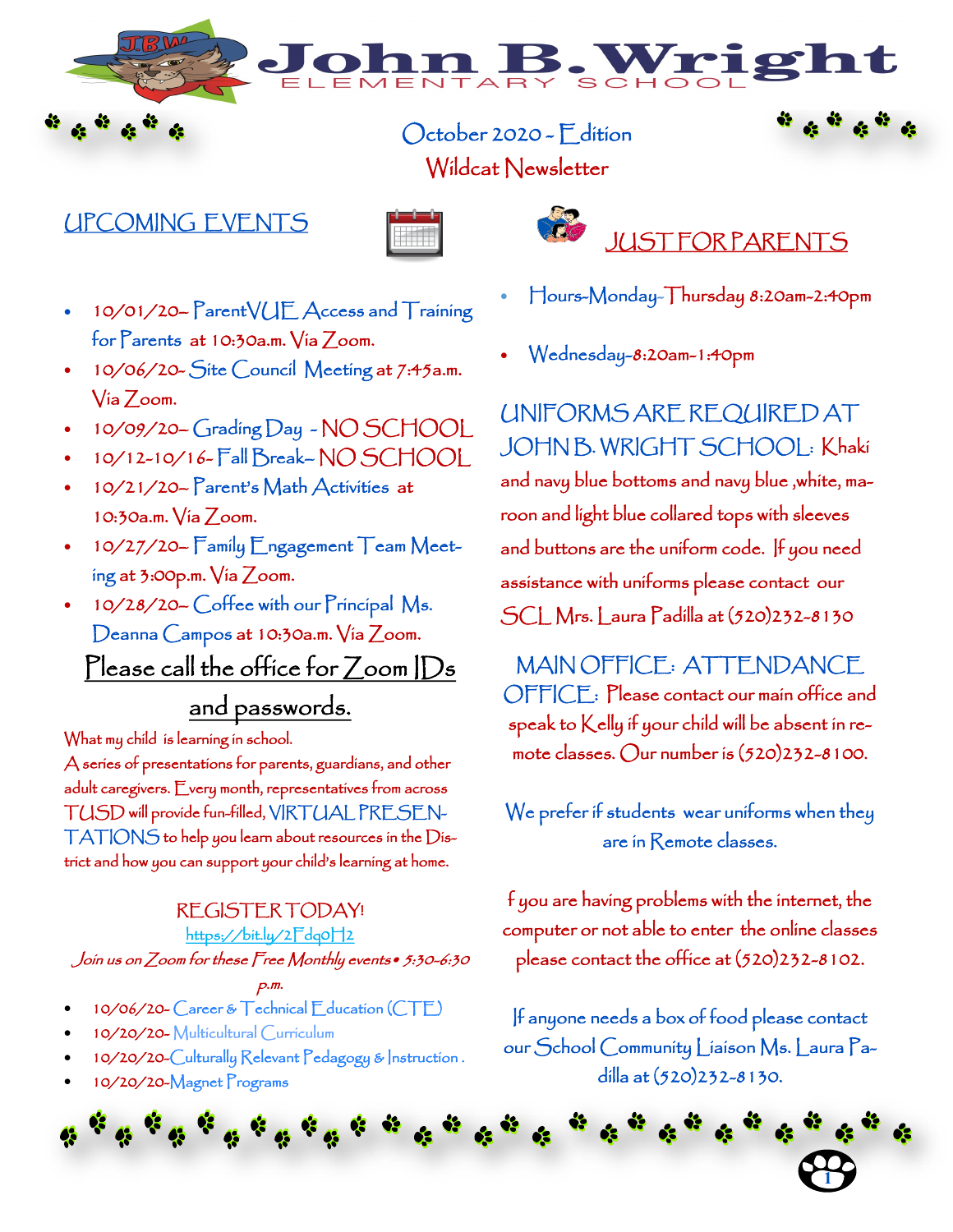October 2020 - Edition Wildcat Newsletter

# UPCOMING EVENTS



- JUST FOR PARENTS
- 10/01/20– ParentVUE Access and Training for Parents at 10:30a.m. Via Zoom.
- 10/06/20- Site Council Meeting at 7:45a.m. Via Zoom.
- 10/09/20– Grading Day NO SCHOOL
- 10/12-10/16- Fall Break– NO SCHOOL
- 10/21/20– Parent's Math Activities at 10:30a.m. Via Zoom.
- 10/27/20– Family Engagement Team Meeting at 3:00p.m. Via Zoom.
- 10/28/20– Coffee with our Principal Ms. Deanna Campos at 10:30a.m. Via Zoom. Please call the office for Zoom IDs

# and passwords.

What my child is learning in school.

A series of presentations for parents, guardians, and other adult caregivers. Every month, representatives from across TUSD will provide fun-filled, VIRTUAL PRESEN-TATIONS to help you learn about resources in the District and how you can support your child's learning at home.

### REGISTER TODAY! https://bit.ly/2Fdq0H2

Join us on Zoom for these Free Monthly events• 5:30-6:30

### p.m.

- 10/06/20- Career & Technical Education (CTE)
- 10/20/20- Multicultural Curriculum
- 10/20/20-Culturally Relevant Pedagogy & Instruction .
- 10/20/20-Magnet Programs

• Hours-Monday-Thursday 8:20am-2:40pm

3. Wrig

• Wednesday-8:20am-1:40pm

UNIFORMS ARE REQUIRED AT JOHN B. WRIGHT SCHOOL: Khaki and navy blue bottoms and navy blue ,white, maroon and light blue collared tops with sleeves and buttons are the uniform code. If you need assistance with uniforms please contact our SCL Mrs. Laura Padilla at (520)232-8130

MAIN OFFICE: ATTENDANCE OFFICE: Please contact our main office and speak to Kelly if your child will be absent in remote classes. Our number is (520)232-8100.

We prefer if students wear uniforms when they are in Remote classes.

f you are having problems with the internet, the computer or not able to enter the online classes please contact the office at (520)232-8102.

If anyone needs a box of food please contact our School Community Liaison Ms. Laura Padilla at (520)232-8130.

**1**